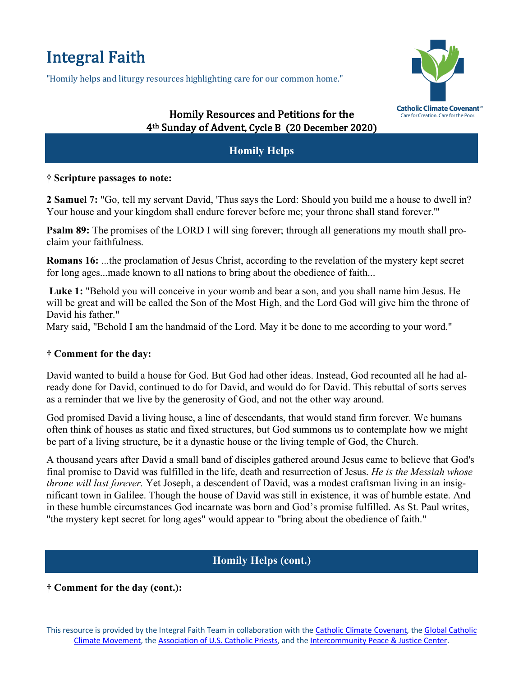# Integral Faith

"Homily helps and liturgy resources highlighting care for our common home."



## Homily Resources and Petitions for the 4<sup>th</sup> Sunday of Advent, Cycle B (20 December 2020)

## **Homily Helps**

### **† Scripture passages to note:**

**2 Samuel 7:** "Go, tell my servant David, 'Thus says the Lord: Should you build me a house to dwell in? Your house and your kingdom shall endure forever before me; your throne shall stand forever.'"

**Psalm 89:** The promises of the LORD I will sing forever; through all generations my mouth shall proclaim your faithfulness.

**Romans 16:** ...the proclamation of Jesus Christ, according to the revelation of the mystery kept secret for long ages...made known to all nations to bring about the obedience of faith...

**Luke 1:** "Behold you will conceive in your womb and bear a son, and you shall name him Jesus. He will be great and will be called the Son of the Most High, and the Lord God will give him the throne of David his father."

Mary said, "Behold I am the handmaid of the Lord. May it be done to me according to your word."

## **† Comment for the day:**

David wanted to build a house for God. But God had other ideas. Instead, God recounted all he had already done for David, continued to do for David, and would do for David. This rebuttal of sorts serves as a reminder that we live by the generosity of God, and not the other way around.

God promised David a living house, a line of descendants, that would stand firm forever. We humans often think of houses as static and fixed structures, but God summons us to contemplate how we might be part of a living structure, be it a dynastic house or the living temple of God, the Church.

A thousand years after David a small band of disciples gathered around Jesus came to believe that God's final promise to David was fulfilled in the life, death and resurrection of Jesus. *He is the Messiah whose throne will last forever.* Yet Joseph, a descendent of David, was a modest craftsman living in an insignificant town in Galilee. Though the house of David was still in existence, it was of humble estate. And in these humble circumstances God incarnate was born and God's promise fulfilled. As St. Paul writes, "the mystery kept secret for long ages" would appear to "bring about the obedience of faith."

# **Homily Helps (cont.)**

## **† Comment for the day (cont.):**

This resource is provided by the Integral Faith Team in collaboration with the Catholic Climate Covenant, the Global Catholic Climate Movement, the Association of U.S. Catholic Priests, and the Intercommunity Peace & Justice Center.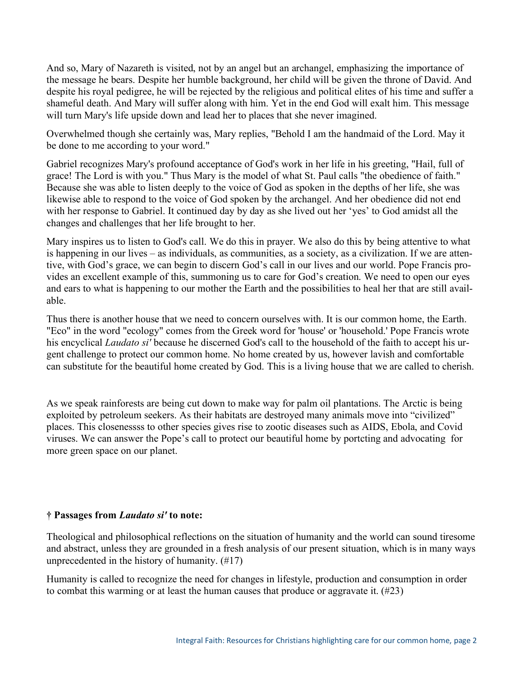And so, Mary of Nazareth is visited, not by an angel but an archangel, emphasizing the importance of the message he bears. Despite her humble background, her child will be given the throne of David. And despite his royal pedigree, he will be rejected by the religious and political elites of his time and suffer a shameful death. And Mary will suffer along with him. Yet in the end God will exalt him. This message will turn Mary's life upside down and lead her to places that she never imagined.

Overwhelmed though she certainly was, Mary replies, "Behold I am the handmaid of the Lord. May it be done to me according to your word."

Gabriel recognizes Mary's profound acceptance of God's work in her life in his greeting, "Hail, full of grace! The Lord is with you." Thus Mary is the model of what St. Paul calls "the obedience of faith." Because she was able to listen deeply to the voice of God as spoken in the depths of her life, she was likewise able to respond to the voice of God spoken by the archangel. And her obedience did not end with her response to Gabriel. It continued day by day as she lived out her 'yes' to God amidst all the changes and challenges that her life brought to her.

Mary inspires us to listen to God's call. We do this in prayer. We also do this by being attentive to what is happening in our lives – as individuals, as communities, as a society, as a civilization. If we are attentive, with God's grace, we can begin to discern God's call in our lives and our world. Pope Francis provides an excellent example of this, summoning us to care for God's creation. We need to open our eyes and ears to what is happening to our mother the Earth and the possibilities to heal her that are still available.

Thus there is another house that we need to concern ourselves with. It is our common home, the Earth. "Eco" in the word "ecology" comes from the Greek word for 'house' or 'household.' Pope Francis wrote his encyclical *Laudato si'* because he discerned God's call to the household of the faith to accept his urgent challenge to protect our common home. No home created by us, however lavish and comfortable can substitute for the beautiful home created by God. This is a living house that we are called to cherish.

As we speak rainforests are being cut down to make way for palm oil plantations. The Arctic is being exploited by petroleum seekers. As their habitats are destroyed many animals move into "civilized" places. This closenessss to other species gives rise to zootic diseases such as AIDS, Ebola, and Covid viruses. We can answer the Pope's call to protect our beautiful home by portcting and advocating for more green space on our planet.

#### **† Passages from** *Laudato si'* **to note:**

Theological and philosophical reflections on the situation of humanity and the world can sound tiresome and abstract, unless they are grounded in a fresh analysis of our present situation, which is in many ways unprecedented in the history of humanity. (#17)

Humanity is called to recognize the need for changes in lifestyle, production and consumption in order to combat this warming or at least the human causes that produce or aggravate it. (#23)